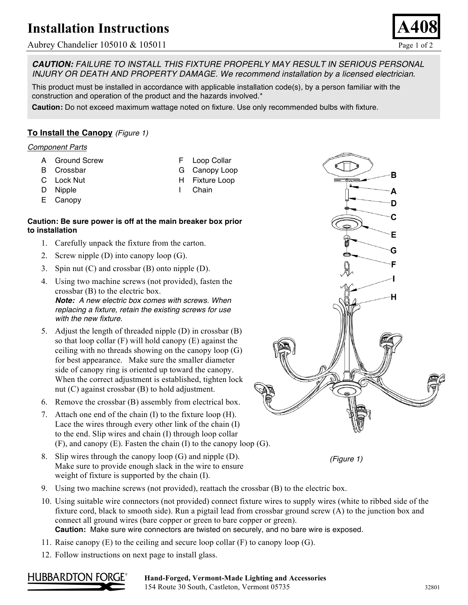# **Installation Instructions**

## Aubrey Chandelier 105010 & 105011 Page 1 of 2

*CAUTION: FAILURE TO INSTALL THIS FIXTURE PROPERLY MAY RESULT IN SERIOUS PERSONAL INJURY OR DEATH AND PROPERTY DAMAGE. We recommend installation by a licensed electrician.*

This product must be installed in accordance with applicable installation code(s), by a person familiar with the construction and operation of the product and the hazards involved.\*

**Caution:** Do not exceed maximum wattage noted on fixture. Use only recommended bulbs with fixture.

## **To Install the Canopy** *(Figure 1)*

### *Component Parts*

- A Ground Screw
- B Crossbar
- C Lock Nut
- D Nipple
- E Canopy
- F Loop Collar G Canopy Loop
- H Fixture Loop
- I Chain

### **Caution: Be sure power is off at the main breaker box prior to installation**

- 1. Carefully unpack the fixture from the carton.
- 2. Screw nipple (D) into canopy loop (G).
- 3. Spin nut (C) and crossbar (B) onto nipple (D).
- 4. Using two machine screws (not provided), fasten the crossbar (B) to the electric box.

*Note: A new electric box comes with screws. When replacing a fixture, retain the existing screws for use with the new fixture.*

- 5. Adjust the length of threaded nipple (D) in crossbar (B) so that loop collar (F) will hold canopy (E) against the ceiling with no threads showing on the canopy loop (G) for best appearance. Make sure the smaller diameter side of canopy ring is oriented up toward the canopy. When the correct adjustment is established, tighten lock nut (C) against crossbar (B) to hold adjustment.
- 6. Remove the crossbar (B) assembly from electrical box.
- 7. Attach one end of the chain (I) to the fixture loop (H). Lace the wires through every other link of the chain (I) to the end. Slip wires and chain (I) through loop collar (F), and canopy (E). Fasten the chain (I) to the canopy loop (G).
- 8. Slip wires through the canopy loop (G) and nipple (D). Make sure to provide enough slack in the wire to ensure weight of fixture is supported by the chain (I).





- 9. Using two machine screws (not provided), reattach the crossbar (B) to the electric box.
- 10. Using suitable wire connectors (not provided) connect fixture wires to supply wires (white to ribbed side of the fixture cord, black to smooth side). Run a pigtail lead from crossbar ground screw (A) to the junction box and connect all ground wires (bare copper or green to bare copper or green). **Caution:** Make sure wire connectors are twisted on securely, and no bare wire is exposed.
- 
- 11. Raise canopy  $(E)$  to the ceiling and secure loop collar  $(F)$  to canopy loop  $(G)$ .
- 12. Follow instructions on next page to install glass.



#### Hand-Forged, Vermont-Made Lighting and Accessories 154 Route 30 South, Castleton, Vermont 05735 32801